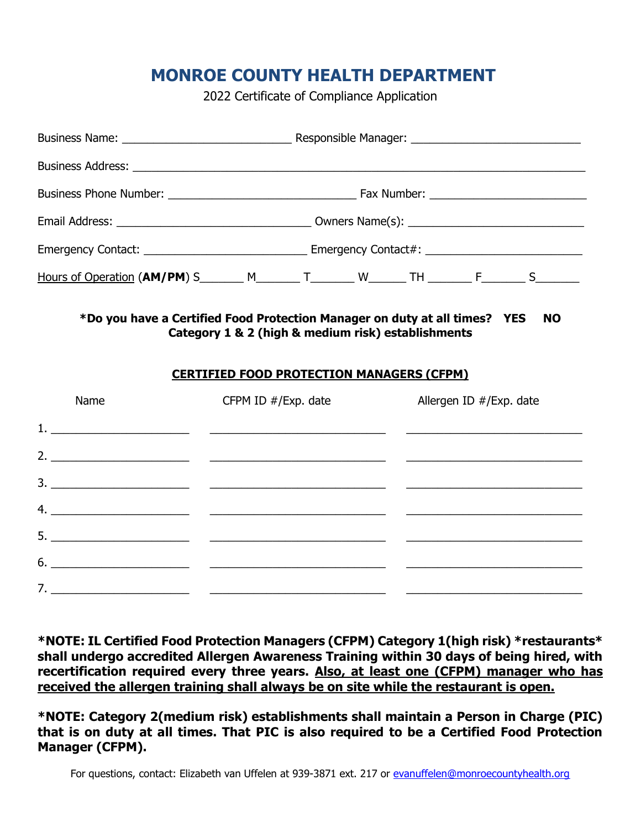## **MONROE COUNTY HEALTH DEPARTMENT**

2022 Certificate of Compliance Application

| Hours of Operation (AM/PM) S________ M________ T________ W_______ TH _________ F________ S________                                                                   |  |  |  |  |  |  |
|----------------------------------------------------------------------------------------------------------------------------------------------------------------------|--|--|--|--|--|--|
| Category 1 & 2 (high & medium risk) establishments<br><b>CERTIFIED FOOD PROTECTION MANAGERS (CFPM)</b><br>Name<br>CFPM ID $\#$ /Exp. date<br>Allergen ID #/Exp. date |  |  |  |  |  |  |
|                                                                                                                                                                      |  |  |  |  |  |  |
|                                                                                                                                                                      |  |  |  |  |  |  |
|                                                                                                                                                                      |  |  |  |  |  |  |
|                                                                                                                                                                      |  |  |  |  |  |  |
|                                                                                                                                                                      |  |  |  |  |  |  |
| $\overline{6.}$ $\overline{\phantom{1.}0}$                                                                                                                           |  |  |  |  |  |  |
|                                                                                                                                                                      |  |  |  |  |  |  |

**\*NOTE: IL Certified Food Protection Managers (CFPM) Category 1(high risk) \*restaurants\* shall undergo accredited Allergen Awareness Training within 30 days of being hired, with recertification required every three years. Also, at least one (CFPM) manager who has received the allergen training shall always be on site while the restaurant is open.**

**\*NOTE: Category 2(medium risk) establishments shall maintain a Person in Charge (PIC) that is on duty at all times. That PIC is also required to be a Certified Food Protection Manager (CFPM).**

For questions, contact: Elizabeth van Uffelen at 939-3871 ext. 217 or [evanuffelen@monroecountyhealth.org](mailto:evanuffelen@monroecountyhealth.org)